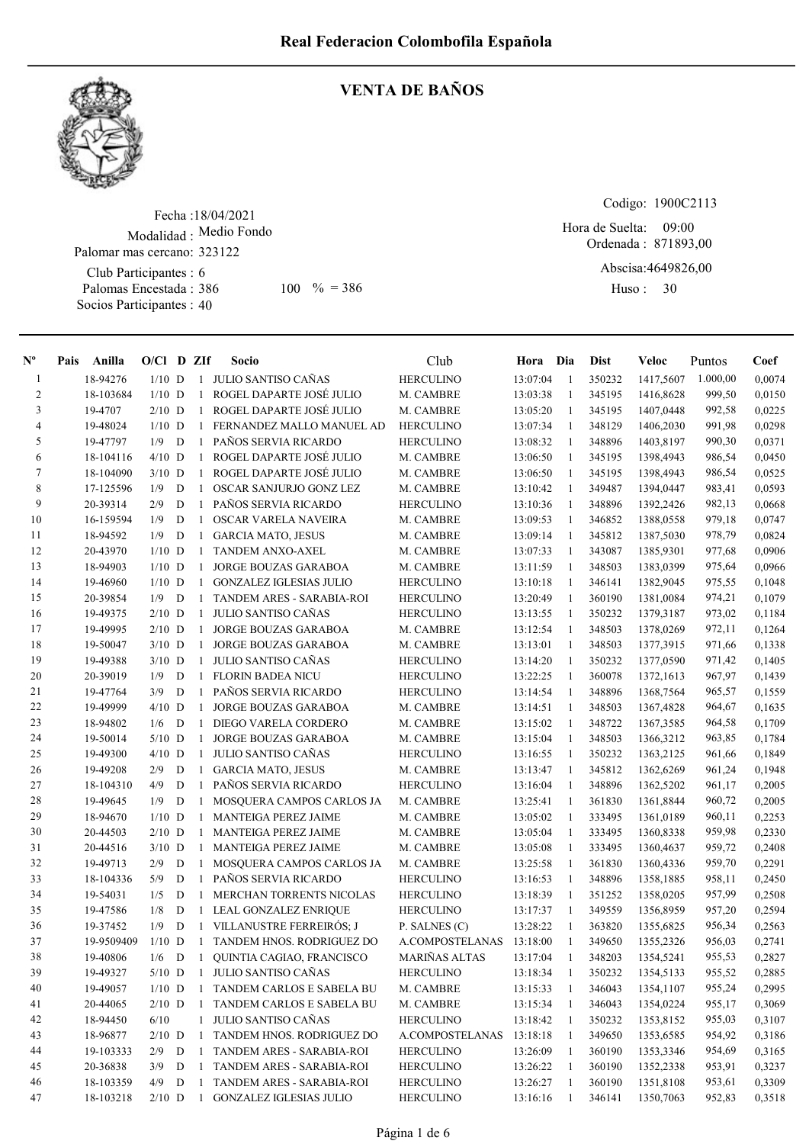

## VENTA DE BAÑOS

Fecha : 18/04/2021 Modalidad : Medio Fondo Club Participantes : 6 Palomas Encestada : Socios Participantes : 40 Palomar mas cercano: 323122 386 100 % = 386 Huso: 30

Codigo: 1900C2113

Ordenada : 871893,00 Hora de Suelta: 09:00

Abscisa: 4649826,00

Huso: 30

| $\mathbf{N}^{\mathbf{o}}$ | Pais | Anilla     | $O/Cl$ D ZIf |             |              | Socio                          | Club             | Hora Dia |                | Dist   | Veloc     | Puntos   | Coef   |
|---------------------------|------|------------|--------------|-------------|--------------|--------------------------------|------------------|----------|----------------|--------|-----------|----------|--------|
| $\mathbf{1}$              |      | 18-94276   | $1/10$ D     |             | 1            | JULIO SANTISO CAÑAS            | <b>HERCULINO</b> | 13:07:04 | -1             | 350232 | 1417,5607 | 1.000,00 | 0,0074 |
| 2                         |      | 18-103684  | $1/10$ D     |             | $\mathbf{1}$ | ROGEL DAPARTE JOSÉ JULIO       | M. CAMBRE        | 13:03:38 | -1             | 345195 | 1416,8628 | 999,50   | 0,0150 |
| 3                         |      | 19-4707    | $2/10$ D     |             | $\mathbf{1}$ | ROGEL DAPARTE JOSÉ JULIO       | M. CAMBRE        | 13:05:20 | -1             | 345195 | 1407,0448 | 992,58   | 0,0225 |
| 4                         |      | 19-48024   | $1/10$ D     |             | 1            | FERNANDEZ MALLO MANUEL AD      | <b>HERCULINO</b> | 13:07:34 | -1             | 348129 | 1406,2030 | 991,98   | 0,0298 |
| 5                         |      | 19-47797   | 1/9          | D           | $\mathbf{1}$ | PAÑOS SERVIA RICARDO           | <b>HERCULINO</b> | 13:08:32 | 1              | 348896 | 1403,8197 | 990,30   | 0,0371 |
| 6                         |      | 18-104116  | $4/10$ D     |             | -1           | ROGEL DAPARTE JOSÉ JULIO       | M. CAMBRE        | 13:06:50 | 1              | 345195 | 1398,4943 | 986,54   | 0,0450 |
| 7                         |      | 18-104090  | $3/10$ D     |             | 1            | ROGEL DAPARTE JOSÉ JULIO       | M. CAMBRE        | 13:06:50 | -1             | 345195 | 1398,4943 | 986,54   | 0,0525 |
| 8                         |      | 17-125596  | 1/9          | D           | 1            | OSCAR SANJURJO GONZ LEZ        | M. CAMBRE        | 13:10:42 | -1             | 349487 | 1394,0447 | 983,41   | 0,0593 |
| 9                         |      | 20-39314   | 2/9          | $\mathbf D$ | $\mathbf{1}$ | PAÑOS SERVIA RICARDO           | <b>HERCULINO</b> | 13:10:36 | 1              | 348896 | 1392,2426 | 982,13   | 0,0668 |
| 10                        |      | 16-159594  | 1/9          | D           | 1            | OSCAR VARELA NAVEIRA           | M. CAMBRE        | 13:09:53 | -1             | 346852 | 1388,0558 | 979,18   | 0,0747 |
| 11                        |      | 18-94592   | 1/9          | D           | $\mathbf{1}$ | <b>GARCIA MATO, JESUS</b>      | M. CAMBRE        | 13:09:14 | -1             | 345812 | 1387,5030 | 978,79   | 0,0824 |
| 12                        |      | 20-43970   | $1/10$ D     |             | $\mathbf{1}$ | TANDEM ANXO-AXEL               | M. CAMBRE        | 13:07:33 | -1             | 343087 | 1385,9301 | 977,68   | 0,0906 |
| 13                        |      | 18-94903   | $1/10$ D     |             | -1           | JORGE BOUZAS GARABOA           | M. CAMBRE        | 13:11:59 | $\overline{1}$ | 348503 | 1383,0399 | 975,64   | 0,0966 |
| 14                        |      | 19-46960   | $1/10$ D     |             | $\mathbf{1}$ | <b>GONZALEZ IGLESIAS JULIO</b> | <b>HERCULINO</b> | 13:10:18 | $\overline{1}$ | 346141 | 1382,9045 | 975,55   | 0,1048 |
| 15                        |      | 20-39854   | 1/9          | D           | -1           | TANDEM ARES - SARABIA-ROI      | <b>HERCULINO</b> | 13:20:49 | -1             | 360190 | 1381,0084 | 974,21   | 0,1079 |
| 16                        |      | 19-49375   | $2/10$ D     |             | 1            | JULIO SANTISO CAÑAS            | <b>HERCULINO</b> | 13:13:55 | -1             | 350232 | 1379,3187 | 973,02   | 0,1184 |
| 17                        |      | 19-49995   | $2/10$ D     |             | $\mathbf{1}$ | <b>JORGE BOUZAS GARABOA</b>    | M. CAMBRE        | 13:12:54 | 1              | 348503 | 1378,0269 | 972,11   | 0,1264 |
| 18                        |      | 19-50047   | $3/10$ D     |             | -1           | <b>JORGE BOUZAS GARABOA</b>    | M. CAMBRE        | 13:13:01 | -1             | 348503 | 1377,3915 | 971,66   | 0,1338 |
| 19                        |      | 19-49388   | $3/10$ D     |             | 1            | JULIO SANTISO CAÑAS            | <b>HERCULINO</b> | 13:14:20 | -1             | 350232 | 1377,0590 | 971,42   | 0,1405 |
| 20                        |      | 20-39019   | 1/9          | D           | 1            | <b>FLORIN BADEA NICU</b>       | <b>HERCULINO</b> | 13:22:25 | -1             | 360078 | 1372,1613 | 967,97   | 0,1439 |
| 21                        |      | 19-47764   | 3/9          | $\mathbf D$ | 1            | PAÑOS SERVIA RICARDO           | <b>HERCULINO</b> | 13:14:54 | -1             | 348896 | 1368,7564 | 965,57   | 0,1559 |
| $22\,$                    |      | 19-49999   | $4/10$ D     |             | -1           | JORGE BOUZAS GARABOA           | M. CAMBRE        | 13:14:51 | -1             | 348503 | 1367,4828 | 964,67   | 0,1635 |
| 23                        |      | 18-94802   | 1/6          | D           | $\mathbf{1}$ | DIEGO VARELA CORDERO           | M. CAMBRE        | 13:15:02 | -1             | 348722 | 1367,3585 | 964,58   | 0,1709 |
| 24                        |      | 19-50014   | $5/10$ D     |             | $\mathbf{1}$ | <b>JORGE BOUZAS GARABOA</b>    | M. CAMBRE        | 13:15:04 | -1             | 348503 | 1366,3212 | 963,85   | 0,1784 |
| 25                        |      | 19-49300   | $4/10$ D     |             | 1            | JULIO SANTISO CAÑAS            | <b>HERCULINO</b> | 13:16:55 | -1             | 350232 | 1363,2125 | 961,66   | 0,1849 |
| 26                        |      | 19-49208   | 2/9          | D           | 1            | <b>GARCIA MATO, JESUS</b>      | M. CAMBRE        | 13:13:47 | -1             | 345812 | 1362,6269 | 961,24   | 0,1948 |
| 27                        |      | 18-104310  | 4/9          | D           | $\mathbf{1}$ | PAÑOS SERVIA RICARDO           | <b>HERCULINO</b> | 13:16:04 | -1             | 348896 | 1362,5202 | 961,17   | 0,2005 |
| 28                        |      | 19-49645   | 1/9          | D           | 1            | MOSQUERA CAMPOS CARLOS JA      | M. CAMBRE        | 13:25:41 | -1             | 361830 | 1361,8844 | 960,72   | 0,2005 |
| 29                        |      | 18-94670   | $1/10$ D     |             | $\mathbf{1}$ | MANTEIGA PEREZ JAIME           | M. CAMBRE        | 13:05:02 | 1              | 333495 | 1361,0189 | 960,11   | 0,2253 |
| 30                        |      | 20-44503   | $2/10$ D     |             | $\mathbf{1}$ | MANTEIGA PEREZ JAIME           | M. CAMBRE        | 13:05:04 | 1              | 333495 | 1360,8338 | 959,98   | 0,2330 |
| 31                        |      | 20-44516   | $3/10$ D     |             | 1            | MANTEIGA PEREZ JAIME           | M. CAMBRE        | 13:05:08 | -1             | 333495 | 1360,4637 | 959,72   | 0,2408 |
| 32                        |      | 19-49713   | 2/9          | D           | $\mathbf{1}$ | MOSQUERA CAMPOS CARLOS JA      | M. CAMBRE        | 13:25:58 | -1             | 361830 | 1360,4336 | 959,70   | 0,2291 |
| 33                        |      | 18-104336  | 5/9          | $\mathbf D$ | 1            | PAÑOS SERVIA RICARDO           | <b>HERCULINO</b> | 13:16:53 | -1             | 348896 | 1358,1885 | 958,11   | 0,2450 |
| 34                        |      | 19-54031   | 1/5          | D           | $\mathbf{1}$ | MERCHAN TORRENTS NICOLAS       | <b>HERCULINO</b> | 13:18:39 | -1             | 351252 | 1358,0205 | 957,99   | 0,2508 |
| 35                        |      | 19-47586   | 1/8          | D           |              | 1 LEAL GONZALEZ ENRIQUE        | <b>HERCULINO</b> | 13:17:37 | -1             | 349559 | 1356,8959 | 957,20   | 0,2594 |
| 36                        |      | 19-37452   | 1/9          | D           |              | 1 VILLANUSTRE FERREIRÓS; J     | P. SALNES (C)    | 13:28:22 | $\overline{1}$ | 363820 | 1355,6825 | 956,34   | 0,2563 |
| 37                        |      | 19-9509409 | $1/10$ D     |             |              | 1 TANDEM HNOS. RODRIGUEZ DO    | A.COMPOSTELANAS  | 13:18:00 | 1              | 349650 | 1355,2326 | 956,03   | 0,2741 |
| 38                        |      | 19-40806   | $1/6$        | D           |              | 1 QUINTIA CAGIAO, FRANCISCO    | MARIÑAS ALTAS    | 13:17:04 | $\mathbf{1}$   | 348203 | 1354,5241 | 955,53   | 0,2827 |
| 39                        |      | 19-49327   | $5/10$ D     |             |              | 1 JULIO SANTISO CAÑAS          | <b>HERCULINO</b> | 13:18:34 | -1             | 350232 | 1354,5133 | 955,52   | 0,2885 |
| 40                        |      | 19-49057   | $1/10$ D     |             |              | 1 TANDEM CARLOS E SABELA BU    | M. CAMBRE        | 13:15:33 | -1             | 346043 | 1354,1107 | 955,24   | 0,2995 |
| 41                        |      | 20-44065   | $2/10$ D     |             |              | 1 TANDEM CARLOS E SABELA BU    | M. CAMBRE        | 13:15:34 | -1             | 346043 | 1354,0224 | 955,17   | 0,3069 |
| 42                        |      | 18-94450   | 6/10         |             |              | 1 JULIO SANTISO CAÑAS          | <b>HERCULINO</b> | 13:18:42 | -1             | 350232 | 1353,8152 | 955,03   | 0,3107 |
| 43                        |      | 18-96877   | $2/10$ D     |             | $\mathbf{1}$ | TANDEM HNOS. RODRIGUEZ DO      | A.COMPOSTELANAS  | 13:18:18 | -1             | 349650 | 1353,6585 | 954,92   | 0,3186 |
| 44                        |      | 19-103333  | 2/9          | D           | -1           | TANDEM ARES - SARABIA-ROI      | <b>HERCULINO</b> | 13:26:09 | -1             | 360190 | 1353,3346 | 954,69   | 0,3165 |
| 45                        |      | 20-36838   | 3/9          | D           | 1            | TANDEM ARES - SARABIA-ROI      | <b>HERCULINO</b> | 13:26:22 | -1             | 360190 | 1352,2338 | 953,91   | 0,3237 |
| 46                        |      | 18-103359  | 4/9          | D           | $\mathbf{1}$ | TANDEM ARES - SARABIA-ROI      | <b>HERCULINO</b> | 13:26:27 | -1             | 360190 | 1351,8108 | 953,61   | 0,3309 |
| 47                        |      | 18-103218  | $2/10$ D     |             | $\mathbf{1}$ | <b>GONZALEZ IGLESIAS JULIO</b> | <b>HERCULINO</b> | 13:16:16 | -1             | 346141 | 1350,7063 | 952,83   | 0,3518 |
|                           |      |            |              |             |              |                                |                  |          |                |        |           |          |        |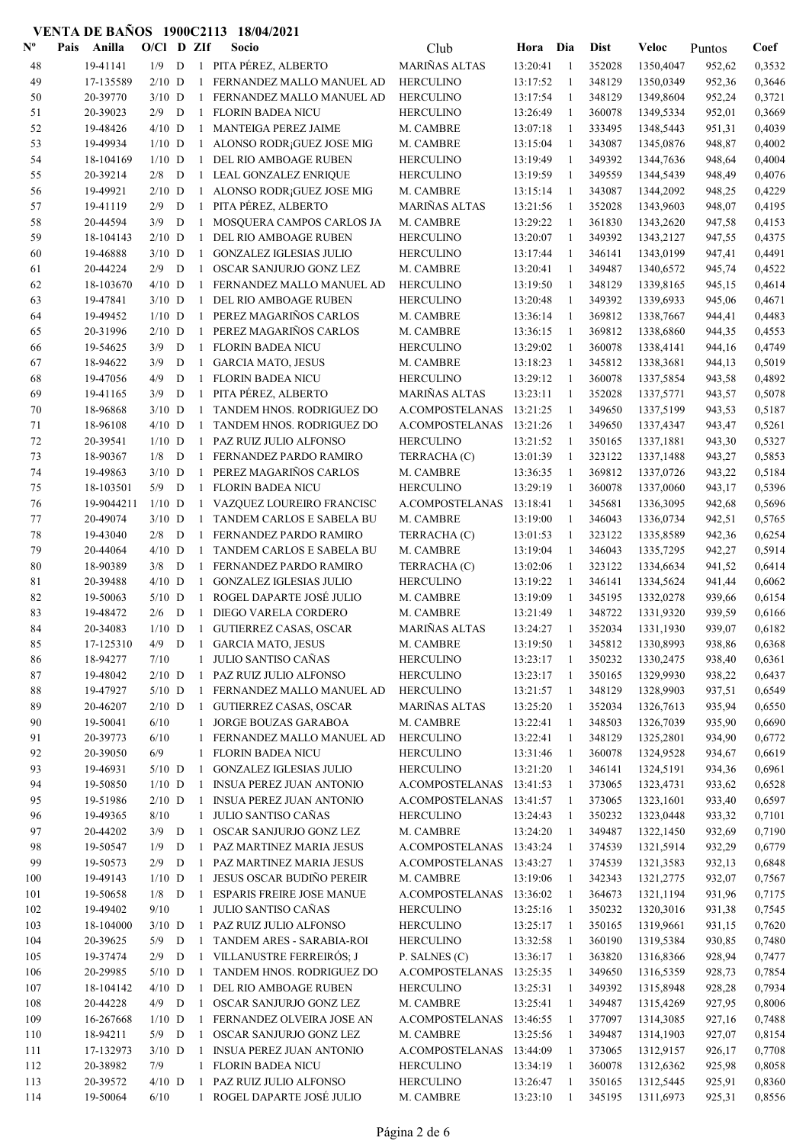| $\mathbf{N}^{\mathbf{o}}$ | Anilla<br>Pais | $O/Cl$ D ZIf |             |              | Socio                                  | Club                     | Hora     | Dia          | <b>Dist</b> | Veloc     | Puntos | Coef   |
|---------------------------|----------------|--------------|-------------|--------------|----------------------------------------|--------------------------|----------|--------------|-------------|-----------|--------|--------|
| 48                        | 19-41141       | 1/9          | D           |              | 1 PITA PÉREZ, ALBERTO                  | MARIÑAS ALTAS            | 13:20:41 | -1           | 352028      | 1350,4047 | 952,62 | 0,3532 |
| 49                        | 17-135589      | $2/10$ D     |             |              | FERNANDEZ MALLO MANUEL AD              | <b>HERCULINO</b>         | 13:17:52 | 1            | 348129      | 1350,0349 | 952,36 | 0,3646 |
| 50                        | 20-39770       | $3/10$ D     |             | $\mathbf{1}$ | FERNANDEZ MALLO MANUEL AD              | <b>HERCULINO</b>         | 13:17:54 | 1            | 348129      | 1349,8604 | 952,24 | 0,3721 |
| 51                        | 20-39023       | 2/9          | D           | $\mathbf{1}$ | <b>FLORIN BADEA NICU</b>               | <b>HERCULINO</b>         | 13:26:49 | -1           | 360078      | 1349,5334 | 952,01 | 0,3669 |
| 52                        | 19-48426       | $4/10$ D     |             | $\mathbf{1}$ | MANTEIGA PEREZ JAIME                   | M. CAMBRE                | 13:07:18 | $\mathbf{1}$ | 333495      | 1348,5443 | 951,31 | 0,4039 |
| 53                        | 19-49934       | $1/10$ D     |             | $\mathbf{1}$ | ALONSO RODR <sub>i</sub> GUEZ JOSE MIG | M. CAMBRE                | 13:15:04 | $\mathbf{1}$ | 343087      | 1345,0876 | 948,87 | 0,4002 |
| 54                        | 18-104169      | $1/10$ D     |             | $\mathbf{1}$ | DEL RIO AMBOAGE RUBEN                  | <b>HERCULINO</b>         | 13:19:49 | -1           | 349392      | 1344,7636 | 948,64 | 0,4004 |
| 55                        | 20-39214       | 2/8          | D           | 1            | LEAL GONZALEZ ENRIQUE                  | <b>HERCULINO</b>         | 13:19:59 | 1            | 349559      | 1344,5439 | 948,49 | 0,4076 |
| 56                        | 19-49921       | $2/10$ D     |             | $\mathbf{1}$ | ALONSO RODR ¡GUEZ JOSE MIG             | M. CAMBRE                | 13:15:14 | 1            | 343087      | 1344,2092 | 948,25 | 0,4229 |
| 57                        | 19-41119       | 2/9          | D           | $\mathbf{1}$ | PITA PÉREZ, ALBERTO                    | MARIÑAS ALTAS            | 13:21:56 | 1            | 352028      | 1343,9603 | 948,07 | 0,4195 |
| 58                        | 20-44594       | 3/9          | D           | $\mathbf{1}$ | MOSQUERA CAMPOS CARLOS JA              | M. CAMBRE                | 13:29:22 | 1            | 361830      | 1343,2620 | 947,58 | 0,4153 |
| 59                        | 18-104143      | $2/10$ D     |             | $\mathbf{1}$ | DEL RIO AMBOAGE RUBEN                  | <b>HERCULINO</b>         | 13:20:07 | 1            | 349392      | 1343,2127 | 947,55 | 0,4375 |
| 60                        | 19-46888       | $3/10$ D     |             | $\mathbf{1}$ | <b>GONZALEZ IGLESIAS JULIO</b>         | <b>HERCULINO</b>         | 13:17:44 | 1            | 346141      | 1343,0199 | 947,41 | 0,4491 |
| 61                        | 20-44224       | 2/9          | D           | $\mathbf{1}$ | OSCAR SANJURJO GONZ LEZ                | M. CAMBRE                | 13:20:41 | 1            | 349487      | 1340,6572 | 945,74 | 0,4522 |
| 62                        | 18-103670      | $4/10$ D     |             | 1            | FERNANDEZ MALLO MANUEL AD              | <b>HERCULINO</b>         | 13:19:50 | 1            | 348129      | 1339,8165 | 945,15 | 0,4614 |
| 63                        | 19-47841       | $3/10$ D     |             | $\mathbf{1}$ | DEL RIO AMBOAGE RUBEN                  | <b>HERCULINO</b>         | 13:20:48 | -1           | 349392      | 1339,6933 | 945,06 | 0,4671 |
| 64                        | 19-49452       | $1/10$ D     |             | $\mathbf{1}$ | PEREZ MAGARIÑOS CARLOS                 | M. CAMBRE                | 13:36:14 | -1           | 369812      | 1338,7667 | 944,41 | 0,4483 |
| 65                        | 20-31996       | $2/10$ D     |             | $\mathbf{1}$ | PEREZ MAGARIÑOS CARLOS                 | M. CAMBRE                | 13:36:15 | $\mathbf{1}$ | 369812      | 1338,6860 | 944,35 | 0,4553 |
| 66                        | 19-54625       | 3/9          | D           | $\mathbf{1}$ | <b>FLORIN BADEA NICU</b>               | <b>HERCULINO</b>         | 13:29:02 | 1            | 360078      | 1338,4141 | 944,16 | 0,4749 |
| 67                        | 18-94622       | 3/9          | D           | 1            | <b>GARCIA MATO, JESUS</b>              | M. CAMBRE                | 13:18:23 | 1            | 345812      | 1338,3681 | 944,13 | 0,5019 |
| 68                        | 19-47056       | 4/9          | $\mathbf D$ | $\mathbf{1}$ | <b>FLORIN BADEA NICU</b>               | <b>HERCULINO</b>         | 13:29:12 | 1            | 360078      | 1337,5854 | 943,58 | 0,4892 |
| 69                        | 19-41165       | 3/9          | D           | $\mathbf{1}$ | PITA PÉREZ, ALBERTO                    | <b>MARIÑAS ALTAS</b>     | 13:23:11 | 1            | 352028      | 1337,5771 | 943,57 | 0,5078 |
| 70                        | 18-96868       | $3/10$ D     |             | $\mathbf{1}$ | TANDEM HNOS. RODRIGUEZ DO              | A.COMPOSTELANAS          | 13:21:25 | 1            | 349650      | 1337,5199 | 943,53 | 0,5187 |
|                           |                |              |             |              |                                        |                          | 13:21:26 |              |             |           |        |        |
| 71                        | 18-96108       | $4/10$ D     |             | $\mathbf{1}$ | TANDEM HNOS. RODRIGUEZ DO              | A.COMPOSTELANAS          |          | 1            | 349650      | 1337,4347 | 943,47 | 0,5261 |
| 72                        | 20-39541       | $1/10$ D     |             | $\mathbf{1}$ | PAZ RUIZ JULIO ALFONSO                 | <b>HERCULINO</b>         | 13:21:52 | 1            | 350165      | 1337,1881 | 943,30 | 0,5327 |
| 73                        | 18-90367       | 1/8          | D           | $\mathbf{1}$ | FERNANDEZ PARDO RAMIRO                 | TERRACHA (C)             | 13:01:39 | -1           | 323122      | 1337,1488 | 943,27 | 0,5853 |
| 74                        | 19-49863       | $3/10$ D     |             | $\mathbf{1}$ | PEREZ MAGARIÑOS CARLOS                 | M. CAMBRE                | 13:36:35 | 1            | 369812      | 1337,0726 | 943,22 | 0,5184 |
| 75                        | 18-103501      | 5/9          | D           | $\mathbf{1}$ | <b>FLORIN BADEA NICU</b>               | <b>HERCULINO</b>         | 13:29:19 | -1           | 360078      | 1337,0060 | 943,17 | 0,5396 |
| 76                        | 19-9044211     | $1/10$ D     |             |              | 1 VAZQUEZ LOUREIRO FRANCISC            | A.COMPOSTELANAS          | 13:18:41 | -1           | 345681      | 1336,3095 | 942,68 | 0,5696 |
| 77                        | 20-49074       | $3/10$ D     |             | $\mathbf{1}$ | TANDEM CARLOS E SABELA BU              | M. CAMBRE                | 13:19:00 | $\mathbf{1}$ | 346043      | 1336,0734 | 942,51 | 0,5765 |
| 78                        | 19-43040       | 2/8          | D           | $\mathbf{1}$ | FERNANDEZ PARDO RAMIRO                 | TERRACHA (C)             | 13:01:53 | 1            | 323122      | 1335,8589 | 942,36 | 0,6254 |
| 79                        | 20-44064       | $4/10$ D     |             | 1            | TANDEM CARLOS E SABELA BU              | M. CAMBRE                | 13:19:04 | 1            | 346043      | 1335,7295 | 942,27 | 0,5914 |
| 80                        | 18-90389       | 3/8          | D           | 1            | FERNANDEZ PARDO RAMIRO                 | TERRACHA (C)             | 13:02:06 | 1            | 323122      | 1334,6634 | 941,52 | 0,6414 |
| 81                        | 20-39488       | $4/10$ D     |             | $\mathbf{1}$ | <b>GONZALEZ IGLESIAS JULIO</b>         | <b>HERCULINO</b>         | 13:19:22 | 1            | 346141      | 1334,5624 | 941,44 | 0,6062 |
| 82                        | 19-50063       | $5/10$ D     |             | $\mathbf{1}$ | ROGEL DAPARTE JOSÉ JULIO               | M. CAMBRE                | 13:19:09 | 1            | 345195      | 1332,0278 | 939,66 | 0,6154 |
| 83                        | 19-48472       | 2/6          | D           | $\mathbf{1}$ | DIEGO VARELA CORDERO                   | M. CAMBRE                | 13:21:49 | 1            | 348722      | 1331,9320 | 939,59 | 0,6166 |
| 84                        | 20-34083       | $1/10$ D     |             | $\mathbf{1}$ | <b>GUTIERREZ CASAS, OSCAR</b>          | <b>MARIÑAS ALTAS</b>     | 13:24:27 | 1            | 352034      | 1331,1930 | 939,07 | 0,6182 |
| 85                        | 17-125310      | 4/9          | D           | $\mathbf{1}$ | <b>GARCIA MATO, JESUS</b>              | M. CAMBRE                | 13:19:50 |              | 345812      | 1330,8993 | 938,86 | 0,6368 |
| 86                        | 18-94277       | 7/10         |             |              | 1 JULIO SANTISO CAÑAS                  | <b>HERCULINO</b>         | 13:23:17 | 1            | 350232      | 1330,2475 | 938,40 | 0,6361 |
| 87                        | 19-48042       | $2/10$ D     |             |              | 1 PAZ RUIZ JULIO ALFONSO               | <b>HERCULINO</b>         | 13:23:17 | 1            | 350165      | 1329,9930 | 938,22 | 0,6437 |
| 88                        | 19-47927       | $5/10$ D     |             |              | 1 FERNANDEZ MALLO MANUEL AD            | <b>HERCULINO</b>         | 13:21:57 | -1           | 348129      | 1328,9903 | 937,51 | 0,6549 |
| 89                        | 20-46207       | $2/10$ D     |             |              | 1 GUTIERREZ CASAS, OSCAR               | <b>MARIÑAS ALTAS</b>     | 13:25:20 | $\mathbf{1}$ | 352034      | 1326,7613 | 935,94 | 0,6550 |
| 90                        | 19-50041       | 6/10         |             |              | 1 JORGE BOUZAS GARABOA                 | M. CAMBRE                | 13:22:41 | $\mathbf{1}$ | 348503      | 1326,7039 | 935,90 | 0,6690 |
| 91                        | 20-39773       | 6/10         |             | $\mathbf{1}$ | FERNANDEZ MALLO MANUEL AD              | <b>HERCULINO</b>         | 13:22:41 | 1            | 348129      | 1325,2801 | 934,90 | 0,6772 |
| 92                        | 20-39050       | 6/9          |             | $\mathbf{1}$ | <b>FLORIN BADEA NICU</b>               | <b>HERCULINO</b>         | 13:31:46 | 1            | 360078      | 1324,9528 | 934,67 | 0,6619 |
| 93                        | 19-46931       | $5/10$ D     |             |              | 1 GONZALEZ IGLESIAS JULIO              | <b>HERCULINO</b>         | 13:21:20 | -1           | 346141      | 1324,5191 | 934,36 | 0,6961 |
| 94                        | 19-50850       | $1/10$ D     |             |              | 1 INSUA PEREZ JUAN ANTONIO             | A.COMPOSTELANAS          | 13:41:53 | 1            | 373065      | 1323,4731 | 933,62 | 0,6528 |
| 95                        | 19-51986       | $2/10$ D     |             |              | 1 INSUA PEREZ JUAN ANTONIO             | A.COMPOSTELANAS          | 13:41:57 | 1            | 373065      | 1323,1601 | 933,40 | 0,6597 |
| 96                        | 19-49365       | 8/10         |             |              | 1 JULIO SANTISO CAÑAS                  | <b>HERCULINO</b>         | 13:24:43 | 1            | 350232      | 1323,0448 | 933,32 | 0,7101 |
| 97                        | 20-44202       | $3/9$ D      |             | 1            | OSCAR SANJURJO GONZ LEZ                | M. CAMBRE                | 13:24:20 | 1            | 349487      | 1322,1450 | 932,69 | 0,7190 |
| 98                        | 19-50547       | 1/9          | D           | $\mathbf{1}$ | PAZ MARTINEZ MARIA JESUS               | A.COMPOSTELANAS          | 13:43:24 | $\mathbf{1}$ | 374539      | 1321,5914 | 932,29 | 0,6779 |
| 99                        | 19-50573       | 2/9          | D           | $\mathbf{1}$ | PAZ MARTINEZ MARIA JESUS               | A.COMPOSTELANAS 13:43:27 |          | -1           | 374539      | 1321,3583 | 932,13 | 0,6848 |
| 100                       | 19-49143       | $1/10$ D     |             | $\mathbf{1}$ | JESUS OSCAR BUDIÑO PEREIR              | M. CAMBRE                | 13:19:06 | -1           | 342343      | 1321,2775 | 932,07 | 0,7567 |
| 101                       | 19-50658       | $1/8$ D      |             |              | 1 ESPARIS FREIRE JOSE MANUE            | A.COMPOSTELANAS          | 13:36:02 | -1           | 364673      | 1321,1194 | 931,96 | 0,7175 |
| 102                       | 19-49402       | 9/10         |             |              | 1 JULIO SANTISO CAÑAS                  | <b>HERCULINO</b>         | 13:25:16 | -1           | 350232      | 1320,3016 | 931,38 | 0,7545 |
| 103                       | 18-104000      | $3/10$ D     |             | $\mathbf{1}$ | PAZ RUIZ JULIO ALFONSO                 | <b>HERCULINO</b>         | 13:25:17 | -1           | 350165      | 1319,9661 | 931,15 | 0,7620 |
| 104                       | 20-39625       | 5/9          | D           | $\mathbf{1}$ | TANDEM ARES - SARABIA-ROI              | <b>HERCULINO</b>         | 13:32:58 | 1            | 360190      | 1319,5384 | 930,85 | 0,7480 |
| 105                       | 19-37474       | 2/9          | D           |              | 1 VILLANUSTRE FERREIRÓS; J             | P. SALNES (C)            | 13:36:17 | 1            | 363820      | 1316,8366 | 928,94 | 0,7477 |
| 106                       | 20-29985       | $5/10$ D     |             | 1            | TANDEM HNOS. RODRIGUEZ DO              | A.COMPOSTELANAS          | 13:25:35 | 1            | 349650      | 1316,5359 | 928,73 | 0,7854 |
| 107                       | 18-104142      | $4/10$ D     |             |              | 1 DEL RIO AMBOAGE RUBEN                | <b>HERCULINO</b>         | 13:25:31 | -1           | 349392      | 1315,8948 | 928,28 | 0,7934 |
| 108                       | 20-44228       | $4/9$ D      |             |              | 1 OSCAR SANJURJO GONZ LEZ              | M. CAMBRE                | 13:25:41 | -1           | 349487      | 1315,4269 | 927,95 | 0,8006 |
| 109                       | 16-267668      | $1/10$ D     |             | $\mathbf{1}$ | FERNANDEZ OLVEIRA JOSE AN              | A.COMPOSTELANAS          | 13:46:55 | 1            | 377097      | 1314,3085 | 927,16 | 0,7488 |
| 110                       | 18-94211       | $5/9$ D      |             | $\mathbf{1}$ | OSCAR SANJURJO GONZ LEZ                | M. CAMBRE                | 13:25:56 | 1            | 349487      | 1314,1903 | 927,07 | 0,8154 |
| 111                       | 17-132973      | $3/10$ D     |             | 1            | <b>INSUA PEREZ JUAN ANTONIO</b>        | A.COMPOSTELANAS          | 13:44:09 | 1            | 373065      | 1312,9157 | 926,17 | 0,7708 |
| 112                       | 20-38982       | 7/9          |             |              | 1 FLORIN BADEA NICU                    | <b>HERCULINO</b>         | 13:34:19 | -1           | 360078      | 1312,6362 | 925,98 | 0,8058 |
| 113                       | 20-39572       | $4/10$ D     |             |              | 1 PAZ RUIZ JULIO ALFONSO               | <b>HERCULINO</b>         | 13:26:47 | -1           | 350165      | 1312,5445 | 925,91 | 0,8360 |
| 114                       | 19-50064       | 6/10         |             |              | 1 ROGEL DAPARTE JOSÉ JULIO             | M. CAMBRE                | 13:23:10 | -1           | 345195      | 1311,6973 | 925,31 | 0,8556 |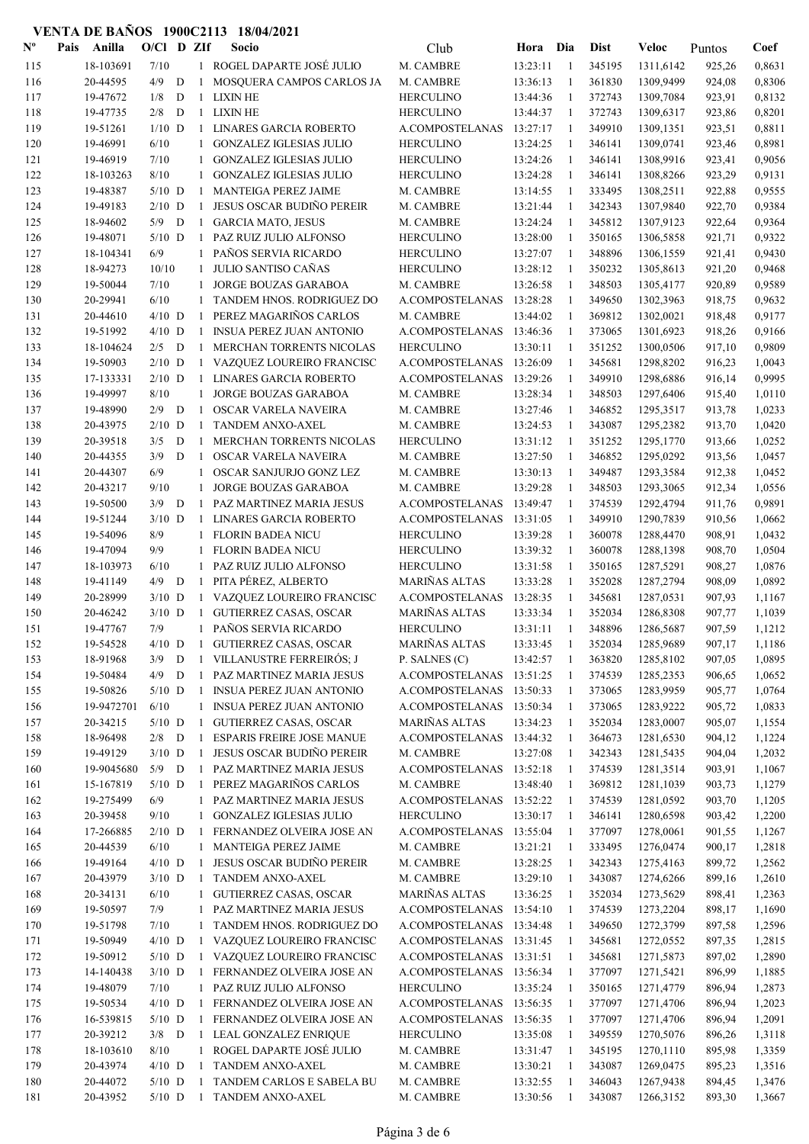| $\mathbf{N}^{\mathbf{o}}$ | Pais | Anilla     | $O/C1$ D ZIf |   |              | Socio                            | Club                     | Hora     | Dia          | <b>Dist</b> | Veloc     | Puntos | Coef   |
|---------------------------|------|------------|--------------|---|--------------|----------------------------------|--------------------------|----------|--------------|-------------|-----------|--------|--------|
| 115                       |      | 18-103691  | 7/10         |   |              | 1 ROGEL DAPARTE JOSÉ JULIO       | M. CAMBRE                | 13:23:11 | -1           | 345195      | 1311,6142 | 925,26 | 0,8631 |
| 116                       |      | 20-44595   | 4/9          | D | $\mathbf{1}$ | MOSQUERA CAMPOS CARLOS JA        | M. CAMBRE                | 13:36:13 | $\mathbf{1}$ | 361830      | 1309,9499 | 924,08 | 0,8306 |
| 117                       |      | 19-47672   | 1/8          | D | 1            | <b>LIXIN HE</b>                  | <b>HERCULINO</b>         | 13:44:36 | -1           | 372743      | 1309,7084 | 923,91 | 0,8132 |
| 118                       |      | 19-47735   | 2/8          | D |              | 1 LIXIN HE                       | <b>HERCULINO</b>         | 13:44:37 | -1           | 372743      | 1309,6317 | 923,86 | 0,8201 |
| 119                       |      | 19-51261   | $1/10$ D     |   |              | 1 LINARES GARCIA ROBERTO         | A.COMPOSTELANAS          | 13:27:17 | -1           | 349910      | 1309,1351 | 923,51 | 0,8811 |
| 120                       |      | 19-46991   | 6/10         |   | $\mathbf{1}$ | <b>GONZALEZ IGLESIAS JULIO</b>   | <b>HERCULINO</b>         | 13:24:25 | -1           | 346141      | 1309,0741 | 923,46 | 0,8981 |
| 121                       |      | 19-46919   | 7/10         |   | 1            | <b>GONZALEZ IGLESIAS JULIO</b>   | <b>HERCULINO</b>         | 13:24:26 | -1           | 346141      | 1308,9916 | 923,41 | 0,9056 |
| 122                       |      | 18-103263  | 8/10         |   |              | <b>GONZALEZ IGLESIAS JULIO</b>   | <b>HERCULINO</b>         | 13:24:28 | -1           | 346141      |           | 923,29 | 0,9131 |
|                           |      |            | $5/10$ D     |   | 1            |                                  |                          |          |              | 333495      | 1308,8266 |        |        |
| 123                       |      | 19-48387   |              |   | 1            | MANTEIGA PEREZ JAIME             | M. CAMBRE                | 13:14:55 | 1            |             | 1308,2511 | 922,88 | 0,9555 |
| 124                       |      | 19-49183   | $2/10$ D     |   | 1            | JESUS OSCAR BUDIÑO PEREIR        | M. CAMBRE                | 13:21:44 | 1            | 342343      | 1307,9840 | 922,70 | 0,9384 |
| 125                       |      | 18-94602   | 5/9          | D | $\mathbf{1}$ | <b>GARCIA MATO, JESUS</b>        | M. CAMBRE                | 13:24:24 | -1           | 345812      | 1307,9123 | 922,64 | 0,9364 |
| 126                       |      | 19-48071   | $5/10$ D     |   | $\mathbf{1}$ | PAZ RUIZ JULIO ALFONSO           | <b>HERCULINO</b>         | 13:28:00 | -1           | 350165      | 1306,5858 | 921,71 | 0,9322 |
| 127                       |      | 18-104341  | 6/9          |   | 1            | PAÑOS SERVIA RICARDO             | <b>HERCULINO</b>         | 13:27:07 | -1           | 348896      | 1306,1559 | 921,41 | 0,9430 |
| 128                       |      | 18-94273   | 10/10        |   | 1            | JULIO SANTISO CAÑAS              | <b>HERCULINO</b>         | 13:28:12 | $\mathbf{1}$ | 350232      | 1305,8613 | 921,20 | 0,9468 |
| 129                       |      | 19-50044   | 7/10         |   | 1            | JORGE BOUZAS GARABOA             | M. CAMBRE                | 13:26:58 | -1           | 348503      | 1305,4177 | 920,89 | 0,9589 |
| 130                       |      | 20-29941   | 6/10         |   |              | TANDEM HNOS. RODRIGUEZ DO        | A.COMPOSTELANAS          | 13:28:28 | -1           | 349650      | 1302,3963 | 918,75 | 0,9632 |
| 131                       |      | 20-44610   | $4/10$ D     |   | -1           | PEREZ MAGARIÑOS CARLOS           | M. CAMBRE                | 13:44:02 | $\mathbf{1}$ | 369812      | 1302,0021 | 918,48 | 0,9177 |
| 132                       |      | 19-51992   | $4/10$ D     |   | $\mathbf{1}$ | <b>INSUA PEREZ JUAN ANTONIO</b>  | A.COMPOSTELANAS          | 13:46:36 | -1           | 373065      | 1301,6923 | 918,26 | 0.9166 |
| 133                       |      | 18-104624  | 2/5          | D | $\mathbf{1}$ | MERCHAN TORRENTS NICOLAS         | <b>HERCULINO</b>         | 13:30:11 | 1            | 351252      | 1300,0506 | 917,10 | 0,9809 |
| 134                       |      | 19-50903   | $2/10$ D     |   | 1            | VAZQUEZ LOUREIRO FRANCISC        | A.COMPOSTELANAS          | 13:26:09 | -1           | 345681      | 1298,8202 | 916,23 | 1,0043 |
| 135                       |      | 17-133331  | $2/10$ D     |   | $\mathbf{1}$ | <b>LINARES GARCIA ROBERTO</b>    | A.COMPOSTELANAS          | 13:29:26 | -1           | 349910      | 1298,6886 | 916,14 | 0,9995 |
| 136                       |      | 19-49997   | 8/10         |   | 1            | JORGE BOUZAS GARABOA             | M. CAMBRE                | 13:28:34 | -1           | 348503      | 1297,6406 | 915,40 | 1,0110 |
| 137                       |      | 19-48990   | 2/9          | D | $\mathbf{1}$ | <b>OSCAR VARELA NAVEIRA</b>      | M. CAMBRE                | 13:27:46 | -1           | 346852      | 1295,3517 | 913,78 | 1,0233 |
| 138                       |      | 20-43975   | $2/10$ D     |   | $\mathbf{1}$ | TANDEM ANXO-AXEL                 | M. CAMBRE                | 13:24:53 | -1           | 343087      | 1295,2382 | 913,70 | 1,0420 |
| 139                       |      | 20-39518   | 3/5          | D | 1            | MERCHAN TORRENTS NICOLAS         | <b>HERCULINO</b>         | 13:31:12 | -1           | 351252      | 1295,1770 | 913,66 | 1,0252 |
| 140                       |      | 20-44355   | 3/9          | D | $\mathbf{1}$ | OSCAR VARELA NAVEIRA             | M. CAMBRE                | 13:27:50 | $\mathbf{1}$ | 346852      | 1295,0292 | 913,56 | 1,0457 |
| 141                       |      | 20-44307   | 6/9          |   | 1            | OSCAR SANJURJO GONZ LEZ          | M. CAMBRE                | 13:30:13 | -1           | 349487      | 1293,3584 | 912,38 | 1,0452 |
| 142                       |      | 20-43217   | 9/10         |   | $\mathbf{1}$ | JORGE BOUZAS GARABOA             | M. CAMBRE                | 13:29:28 | -1           | 348503      | 1293,3065 | 912,34 | 1,0556 |
| 143                       |      | 19-50500   | 3/9          | D | $\mathbf{1}$ | PAZ MARTINEZ MARIA JESUS         | A.COMPOSTELANAS          | 13:49:47 | -1           | 374539      | 1292,4794 | 911,76 | 0,9891 |
| 144                       |      | 19-51244   | $3/10$ D     |   | $\mathbf{1}$ | <b>LINARES GARCIA ROBERTO</b>    | A.COMPOSTELANAS          | 13:31:05 | 1            | 349910      | 1290,7839 | 910,56 | 1,0662 |
| 145                       |      | 19-54096   | 8/9          |   | 1            | <b>FLORIN BADEA NICU</b>         | <b>HERCULINO</b>         | 13:39:28 | -1           | 360078      | 1288,4470 | 908,91 | 1,0432 |
| 146                       |      | 19-47094   | 9/9          |   | 1            | <b>FLORIN BADEA NICU</b>         | <b>HERCULINO</b>         | 13:39:32 | -1           | 360078      | 1288,1398 | 908,70 | 1,0504 |
| 147                       |      | 18-103973  | 6/10         |   | 1            | PAZ RUIZ JULIO ALFONSO           | <b>HERCULINO</b>         | 13:31:58 | -1           | 350165      | 1287,5291 | 908,27 | 1,0876 |
| 148                       |      | 19-41149   | 4/9          | D | 1            | PITA PÉREZ, ALBERTO              | <b>MARIÑAS ALTAS</b>     | 13:33:28 | 1            | 352028      | 1287,2794 | 908,09 | 1,0892 |
| 149                       |      | 20-28999   | $3/10$ D     |   |              | 1 VAZQUEZ LOUREIRO FRANCISC      | A.COMPOSTELANAS          | 13:28:35 | -1           | 345681      | 1287,0531 | 907,93 | 1,1167 |
| 150                       |      | 20-46242   | $3/10$ D     |   | $\mathbf{1}$ | <b>GUTIERREZ CASAS, OSCAR</b>    | <b>MARIÑAS ALTAS</b>     | 13:33:34 | -1           | 352034      | 1286,8308 | 907,77 | 1,1039 |
| 151                       |      | 19-47767   | 7/9          |   | $\mathbf{1}$ | PAÑOS SERVIA RICARDO             | <b>HERCULINO</b>         | 13:31:11 | -1           | 348896      | 1286,5687 | 907,59 | 1,1212 |
| 152                       |      | 19-54528   | $4/10$ D     |   | $\mathbf{1}$ | <b>GUTIERREZ CASAS, OSCAR</b>    | <b>MARIÑAS ALTAS</b>     | 13:33:45 | 1            | 352034      | 1285,9689 | 907,17 | 1,1186 |
| 153                       |      | 18-91968   | 3/9          | D |              | 1 VILLANUSTRE FERREIRÓS; J       | P. SALNES (C)            | 13:42:57 | -1           | 363820      | 1285,8102 | 907,05 | 1,0895 |
| 154                       |      | 19-50484   | 4/9          | D | 1            | PAZ MARTINEZ MARIA JESUS         | A.COMPOSTELANAS          | 13:51:25 | $\mathbf{1}$ | 374539      | 1285,2353 | 906,65 | 1,0652 |
|                           |      | 19-50826   | $5/10$ D     |   | -1           | <b>INSUA PEREZ JUAN ANTONIO</b>  | A.COMPOSTELANAS 13:50:33 |          | -1           | 373065      | 1283,9959 | 905,77 |        |
| 155                       |      |            | 6/10         |   |              |                                  |                          |          |              |             |           |        | 1,0764 |
| 156                       |      | 19-9472701 |              |   |              | 1 INSUA PEREZ JUAN ANTONIO       | A.COMPOSTELANAS 13:50:34 |          | -1           | 373065      | 1283,9222 | 905,72 | 1,0833 |
| 157                       |      | 20-34215   | $5/10$ D     |   | 1            | <b>GUTIERREZ CASAS, OSCAR</b>    | MARIÑAS ALTAS            | 13:34:23 | -1           | 352034      | 1283,0007 | 905,07 | 1,1554 |
| 158                       |      | 18-96498   | $2/8$ D      |   | $\mathbf{1}$ | <b>ESPARIS FREIRE JOSE MANUE</b> | A.COMPOSTELANAS          | 13:44:32 | -1           | 364673      | 1281,6530 | 904,12 | 1,1224 |
| 159                       |      | 19-49129   | $3/10$ D     |   | 1            | JESUS OSCAR BUDIÑO PEREIR        | M. CAMBRE                | 13:27:08 | -1           | 342343      | 1281,5435 | 904,04 | 1,2032 |
| 160                       |      | 19-9045680 | $5/9$ D      |   | $\mathbf{1}$ | PAZ MARTINEZ MARIA JESUS         | A.COMPOSTELANAS          | 13:52:18 | -1           | 374539      | 1281,3514 | 903,91 | 1,1067 |
| 161                       |      | 15-167819  | $5/10$ D     |   | $\mathbf{1}$ | PEREZ MAGARIÑOS CARLOS           | M. CAMBRE                | 13:48:40 | -1           | 369812      | 1281,1039 | 903,73 | 1,1279 |
| 162                       |      | 19-275499  | 6/9          |   |              | 1 PAZ MARTINEZ MARIA JESUS       | A.COMPOSTELANAS          | 13:52:22 | -1           | 374539      | 1281,0592 | 903,70 | 1,1205 |
| 163                       |      | 20-39458   | 9/10         |   | $\mathbf{1}$ | <b>GONZALEZ IGLESIAS JULIO</b>   | <b>HERCULINO</b>         | 13:30:17 | -1           | 346141      | 1280,6598 | 903,42 | 1,2200 |
| 164                       |      | 17-266885  | $2/10$ D     |   | -1           | FERNANDEZ OLVEIRA JOSE AN        | A.COMPOSTELANAS          | 13:55:04 | -1           | 377097      | 1278,0061 | 901,55 | 1,1267 |
| 165                       |      | 20-44539   | 6/10         |   | $\mathbf{1}$ | MANTEIGA PEREZ JAIME             | M. CAMBRE                | 13:21:21 | -1           | 333495      | 1276,0474 | 900,17 | 1,2818 |
| 166                       |      | 19-49164   | $4/10$ D     |   | $\mathbf{1}$ | JESUS OSCAR BUDIÑO PEREIR        | M. CAMBRE                | 13:28:25 | -1           | 342343      | 1275,4163 | 899,72 | 1,2562 |
| 167                       |      | 20-43979   | $3/10$ D     |   | 1            | TANDEM ANXO-AXEL                 | M. CAMBRE                | 13:29:10 | -1           | 343087      | 1274,6266 | 899,16 | 1,2610 |
| 168                       |      | 20-34131   | 6/10         |   |              | 1 GUTIERREZ CASAS, OSCAR         | <b>MARIÑAS ALTAS</b>     | 13:36:25 | -1           | 352034      | 1273,5629 | 898,41 | 1,2363 |
| 169                       |      | 19-50597   | 7/9          |   |              | 1 PAZ MARTINEZ MARIA JESUS       | A.COMPOSTELANAS          | 13:54:10 | 1            | 374539      | 1273,2204 | 898,17 | 1,1690 |
| 170                       |      | 19-51798   | 7/10         |   | 1            | TANDEM HNOS. RODRIGUEZ DO        | A.COMPOSTELANAS          | 13:34:48 | -1           | 349650      | 1272,3799 | 897,58 | 1,2596 |
| 171                       |      | 19-50949   | $4/10$ D     |   | 1            | VAZQUEZ LOUREIRO FRANCISC        | A.COMPOSTELANAS          | 13:31:45 | -1           | 345681      | 1272,0552 | 897,35 | 1,2815 |
| 172                       |      | 19-50912   | $5/10$ D     |   |              | 1 VAZQUEZ LOUREIRO FRANCISC      | A.COMPOSTELANAS          | 13:31:51 | -1           | 345681      | 1271,5873 | 897,02 | 1,2890 |
| 173                       |      | 14-140438  | $3/10$ D     |   | $\mathbf{1}$ | FERNANDEZ OLVEIRA JOSE AN        | A.COMPOSTELANAS          | 13:56:34 | -1           | 377097      | 1271,5421 | 896,99 | 1,1885 |
| 174                       |      | 19-48079   | 7/10         |   |              | 1 PAZ RUIZ JULIO ALFONSO         | <b>HERCULINO</b>         | 13:35:24 | -1           | 350165      | 1271,4779 | 896,94 | 1,2873 |
| 175                       |      | 19-50534   | $4/10$ D     |   | 1            | FERNANDEZ OLVEIRA JOSE AN        | A.COMPOSTELANAS          | 13:56:35 | -1           | 377097      | 1271,4706 | 896,94 | 1,2023 |
| 176                       |      | 16-539815  | $5/10$ D     |   | 1            | FERNANDEZ OLVEIRA JOSE AN        | A.COMPOSTELANAS          | 13:56:35 | -1           | 377097      | 1271,4706 | 896,94 | 1,2091 |
| 177                       |      | 20-39212   | $3/8$ D      |   | -1           | <b>LEAL GONZALEZ ENRIQUE</b>     | <b>HERCULINO</b>         | 13:35:08 | -1           | 349559      | 1270,5076 | 896,26 | 1,3118 |
| 178                       |      | 18-103610  | $8/10$       |   | $\mathbf{1}$ | ROGEL DAPARTE JOSÉ JULIO         | M. CAMBRE                | 13:31:47 | $\mathbf{1}$ | 345195      | 1270,1110 | 895,98 | 1,3359 |
| 179                       |      | 20-43974   | $4/10$ D     |   | -1           | TANDEM ANXO-AXEL                 | M. CAMBRE                | 13:30:21 | -1           | 343087      | 1269,0475 | 895,23 | 1,3516 |
| 180                       |      | 20-44072   | $5/10$ D     |   | -1           | TANDEM CARLOS E SABELA BU        | M. CAMBRE                | 13:32:55 | -1           | 346043      | 1267,9438 | 894,45 | 1,3476 |
| 181                       |      | 20-43952   | $5/10$ D     |   |              | 1 TANDEM ANXO-AXEL               | M. CAMBRE                | 13:30:56 | -1           | 343087      | 1266,3152 | 893,30 | 1,3667 |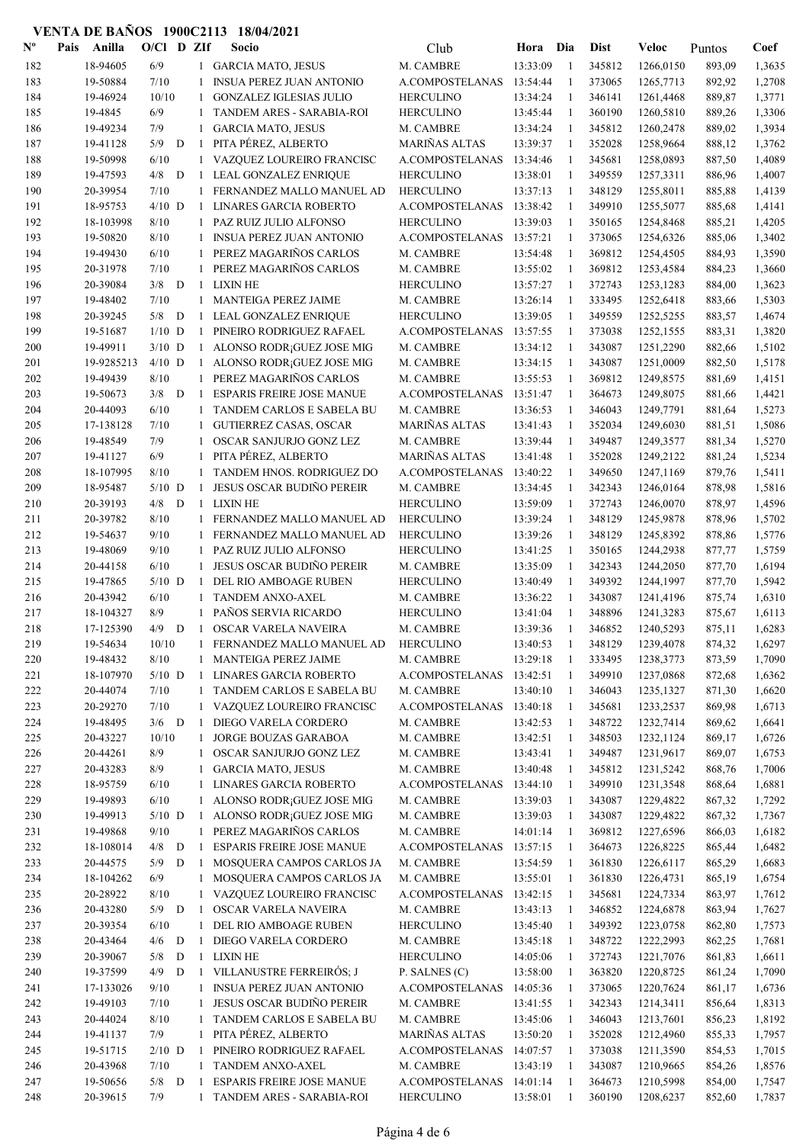| $\mathbf{N}^{\mathbf{o}}$ | Pais | Anilla     | $O/C1$ D ZIf |   |              | Socio                            | Club                 | Hora     | Dia            | <b>Dist</b> | Veloc     | Puntos | Coef   |
|---------------------------|------|------------|--------------|---|--------------|----------------------------------|----------------------|----------|----------------|-------------|-----------|--------|--------|
| 182                       |      | 18-94605   | 6/9          |   |              | 1 GARCIA MATO, JESUS             | M. CAMBRE            | 13:33:09 | $\overline{1}$ | 345812      | 1266,0150 | 893,09 | 1,3635 |
| 183                       |      | 19-50884   | 7/10         |   |              | <b>INSUA PEREZ JUAN ANTONIO</b>  | A.COMPOSTELANAS      | 13:54:44 | $\mathbf{1}$   | 373065      | 1265,7713 | 892,92 | 1,2708 |
| 184                       |      | 19-46924   | 10/10        |   | 1            | <b>GONZALEZ IGLESIAS JULIO</b>   | <b>HERCULINO</b>     | 13:34:24 | -1             | 346141      | 1261,4468 | 889,87 | 1,3771 |
| 185                       |      | 19-4845    | 6/9          |   | 1            | TANDEM ARES - SARABIA-ROI        | <b>HERCULINO</b>     | 13:45:44 | -1             | 360190      | 1260,5810 | 889,26 | 1,3306 |
| 186                       |      | 19-49234   | 7/9          |   | $\mathbf{1}$ | <b>GARCIA MATO, JESUS</b>        | M. CAMBRE            | 13:34:24 | -1             | 345812      | 1260,2478 | 889,02 | 1,3934 |
| 187                       |      | 19-41128   | 5/9          | D | -1           | PITA PÉREZ, ALBERTO              | MARIÑAS ALTAS        | 13:39:37 | 1              | 352028      | 1258,9664 | 888,12 | 1,3762 |
| 188                       |      | 19-50998   | 6/10         |   | $\mathbf{1}$ | VAZQUEZ LOUREIRO FRANCISC        | A.COMPOSTELANAS      | 13:34:46 | -1             | 345681      | 1258,0893 | 887,50 | 1,4089 |
| 189                       |      | 19-47593   | 4/8          | D | -1           | LEAL GONZALEZ ENRIQUE            | <b>HERCULINO</b>     | 13:38:01 | 1              | 349559      | 1257,3311 | 886,96 | 1,4007 |
| 190                       |      | 20-39954   | 7/10         |   | 1            | FERNANDEZ MALLO MANUEL AD        | <b>HERCULINO</b>     | 13:37:13 | 1              | 348129      | 1255,8011 | 885,88 | 1,4139 |
| 191                       |      | 18-95753   | $4/10$ D     |   | 1            | <b>LINARES GARCIA ROBERTO</b>    | A.COMPOSTELANAS      | 13:38:42 | 1              | 349910      | 1255,5077 | 885,68 | 1,4141 |
| 192                       |      | 18-103998  | 8/10         |   | $\mathbf{1}$ | PAZ RUIZ JULIO ALFONSO           | <b>HERCULINO</b>     | 13:39:03 | 1              | 350165      | 1254,8468 | 885,21 | 1,4205 |
| 193                       |      | 19-50820   | 8/10         |   | $\mathbf{1}$ | <b>INSUA PEREZ JUAN ANTONIO</b>  | A.COMPOSTELANAS      | 13:57:21 | 1              | 373065      | 1254,6326 | 885,06 | 1,3402 |
| 194                       |      | 19-49430   | 6/10         |   | 1            | PEREZ MAGARIÑOS CARLOS           | M. CAMBRE            | 13:54:48 | 1              | 369812      | 1254,4505 | 884,93 | 1,3590 |
| 195                       |      | 20-31978   | 7/10         |   | $\mathbf{1}$ | PEREZ MAGARIÑOS CARLOS           | M. CAMBRE            | 13:55:02 | $\mathbf{1}$   | 369812      | 1253,4584 | 884,23 | 1,3660 |
| 196                       |      | 20-39084   | 3/8          | D | -1           | <b>LIXIN HE</b>                  | <b>HERCULINO</b>     | 13:57:27 | 1              | 372743      | 1253,1283 | 884,00 | 1,3623 |
| 197                       |      | 19-48402   | 7/10         |   | 1            | MANTEIGA PEREZ JAIME             | M. CAMBRE            | 13:26:14 | -1             | 333495      | 1252,6418 | 883,66 | 1,5303 |
| 198                       |      | 20-39245   | 5/8          | D | 1            | LEAL GONZALEZ ENRIQUE            | <b>HERCULINO</b>     | 13:39:05 | -1             | 349559      | 1252,5255 | 883,57 | 1,4674 |
| 199                       |      | 19-51687   | $1/10$ D     |   | 1            | PINEIRO RODRIGUEZ RAFAEL         | A.COMPOSTELANAS      | 13:57:55 | -1             | 373038      | 1252,1555 | 883,31 | 1,3820 |
| 200                       |      | 19-49911   | $3/10$ D     |   | 1            | ALONSO RODR; GUEZ JOSE MIG       | M. CAMBRE            | 13:34:12 | -1             | 343087      | 1251,2290 | 882,66 | 1,5102 |
| 201                       |      | 19-9285213 | $4/10$ D     |   | 1            | ALONSO RODR; GUEZ JOSE MIG       | M. CAMBRE            | 13:34:15 | -1             | 343087      | 1251,0009 | 882,50 | 1,5178 |
| 202                       |      | 19-49439   | 8/10         |   | 1            | PEREZ MAGARIÑOS CARLOS           | M. CAMBRE            | 13:55:53 | 1              | 369812      | 1249,8575 | 881,69 | 1,4151 |
| 203                       |      | 19-50673   | $3/8$ D      |   | -1           | <b>ESPARIS FREIRE JOSE MANUE</b> | A.COMPOSTELANAS      | 13:51:47 | 1              | 364673      | 1249,8075 | 881,66 | 1,4421 |
| 204                       |      | 20-44093   | 6/10         |   |              | TANDEM CARLOS E SABELA BU        | M. CAMBRE            | 13:36:53 | 1              | 346043      | 1249,7791 | 881,64 | 1,5273 |
| 205                       |      | 17-138128  | 7/10         |   | $\mathbf{1}$ | <b>GUTIERREZ CASAS, OSCAR</b>    | <b>MARIÑAS ALTAS</b> | 13:41:43 | 1              | 352034      | 1249,6030 | 881,51 | 1,5086 |
| 206                       |      | 19-48549   | 7/9          |   | $\mathbf{1}$ | OSCAR SANJURJO GONZ LEZ          | M. CAMBRE            | 13:39:44 | -1             | 349487      | 1249,3577 | 881,34 | 1,5270 |
| 207                       |      | 19-41127   | 6/9          |   |              | PITA PÉREZ, ALBERTO              | MARIÑAS ALTAS        | 13:41:48 | -1             | 352028      | 1249,2122 | 881,24 | 1,5234 |
| 208                       |      | 18-107995  | 8/10         |   |              | TANDEM HNOS. RODRIGUEZ DO        | A.COMPOSTELANAS      | 13:40:22 | -1             | 349650      | 1247,1169 | 879,76 | 1,5411 |
| 209                       |      | 18-95487   | $5/10$ D     |   | 1            | JESUS OSCAR BUDIÑO PEREIR        | M. CAMBRE            | 13:34:45 | -1             | 342343      | 1246,0164 | 878,98 | 1,5816 |
| 210                       |      | 20-39193   | 4/8          | D | $\mathbf{1}$ | <b>LIXIN HE</b>                  | <b>HERCULINO</b>     | 13:59:09 | -1             | 372743      | 1246,0070 | 878,97 | 1,4596 |
| 211                       |      | 20-39782   | $8/10$       |   | $\mathbf{1}$ | FERNANDEZ MALLO MANUEL AD        | <b>HERCULINO</b>     | 13:39:24 | -1             | 348129      | 1245,9878 | 878,96 | 1,5702 |
| 212                       |      | 19-54637   | 9/10         |   | 1            | FERNANDEZ MALLO MANUEL AD        | <b>HERCULINO</b>     | 13:39:26 | -1             | 348129      | 1245,8392 | 878,86 | 1,5776 |
| 213                       |      | 19-48069   | 9/10         |   | 1            | PAZ RUIZ JULIO ALFONSO           | <b>HERCULINO</b>     | 13:41:25 | -1             | 350165      | 1244,2938 | 877,77 | 1,5759 |
| 214                       |      | 20-44158   | 6/10         |   | 1            | JESUS OSCAR BUDIÑO PEREIR        | M. CAMBRE            | 13:35:09 | $\mathbf{1}$   | 342343      | 1244,2050 | 877,70 | 1,6194 |
| 215                       |      | 19-47865   | $5/10$ D     |   | 1            | DEL RIO AMBOAGE RUBEN            | <b>HERCULINO</b>     | 13:40:49 | 1              | 349392      | 1244,1997 | 877,70 | 1,5942 |
| 216                       |      | 20-43942   | 6/10         |   | 1            | <b>TANDEM ANXO-AXEL</b>          | M. CAMBRE            | 13:36:22 | 1              | 343087      | 1241,4196 | 875,74 | 1,6310 |
| 217                       |      | 18-104327  | 8/9          |   | $\mathbf{1}$ | PAÑOS SERVIA RICARDO             | <b>HERCULINO</b>     | 13:41:04 | 1              | 348896      | 1241,3283 | 875,67 | 1,6113 |
| 218                       |      | 17-125390  | 4/9          | D | $\mathbf{1}$ | <b>OSCAR VARELA NAVEIRA</b>      | M. CAMBRE            | 13:39:36 | 1              | 346852      | 1240,5293 | 875,11 | 1,6283 |
| 219                       |      | 19-54634   | 10/10        |   |              | FERNANDEZ MALLO MANUEL AD        | <b>HERCULINO</b>     | 13:40:53 | 1              | 348129      | 1239,4078 | 874,32 | 1,6297 |
| 220                       |      | 19-48432   | 8/10         |   | 1            | MANTEIGA PEREZ JAIME             | M. CAMBRE            | 13:29:18 | 1              | 333495      | 1238,3773 | 873,59 | 1,7090 |
| 221                       |      | 18-107970  | $5/10$ D     |   | 1            | LINARES GARCIA ROBERTO           | A.COMPOSTELANAS      | 13:42:51 | -1             | 349910      | 1237,0868 | 872,68 | 1,6362 |
| 222                       |      | 20-44074   | 7/10         |   | 1            | TANDEM CARLOS E SABELA BU        | M. CAMBRE            | 13:40:10 | -1             | 346043      | 1235,1327 | 871,30 | 1,6620 |
| 223                       |      | 20-29270   | 7/10         |   | $\mathbf{1}$ | VAZQUEZ LOUREIRO FRANCISC        | A.COMPOSTELANAS      | 13:40:18 | -1             | 345681      | 1233,2537 | 869,98 | 1,6713 |
| 224                       |      | 19-48495   | $3/6$ D      |   | -1           | DIEGO VARELA CORDERO             | M. CAMBRE            | 13:42:53 | -1             | 348722      | 1232,7414 | 869,62 | 1,6641 |
| 225                       |      | 20-43227   | 10/10        |   | 1            | JORGE BOUZAS GARABOA             | M. CAMBRE            | 13:42:51 | 1              | 348503      | 1232,1124 | 869,17 | 1,6726 |
| 226                       |      | 20-44261   | $8/9$        |   | 1            | OSCAR SANJURJO GONZ LEZ          | M. CAMBRE            | 13:43:41 | 1              | 349487      | 1231,9617 | 869,07 | 1,6753 |
| 227                       |      | 20-43283   | 8/9          |   | 1            | <b>GARCIA MATO, JESUS</b>        | M. CAMBRE            | 13:40:48 | -1             | 345812      | 1231,5242 | 868,76 | 1,7006 |
| 228                       |      | 18-95759   | 6/10         |   | 1            | <b>LINARES GARCIA ROBERTO</b>    | A.COMPOSTELANAS      | 13:44:10 | -1             | 349910      | 1231,3548 | 868,64 | 1,6881 |
| 229                       |      | 19-49893   | 6/10         |   |              | 1 ALONSO RODR; GUEZ JOSE MIG     | M. CAMBRE            | 13:39:03 | 1              | 343087      | 1229,4822 | 867,32 | 1,7292 |
| 230                       |      | 19-49913   | $5/10$ D     |   | 1            | ALONSO RODR; GUEZ JOSE MIG       | M. CAMBRE            | 13:39:03 | 1              | 343087      | 1229,4822 | 867,32 | 1,7367 |
| 231                       |      | 19-49868   | 9/10         |   | 1            | PEREZ MAGARIÑOS CARLOS           | M. CAMBRE            | 14:01:14 | $\mathbf{1}$   | 369812      | 1227,6596 | 866,03 | 1,6182 |
| 232                       |      | 18-108014  | 4/8          | D | -1           | <b>ESPARIS FREIRE JOSE MANUE</b> | A.COMPOSTELANAS      | 13:57:15 | -1             | 364673      | 1226,8225 | 865,44 | 1,6482 |
| 233                       |      | 20-44575   | 5/9          | D | 1            | MOSQUERA CAMPOS CARLOS JA        | M. CAMBRE            | 13:54:59 | -1             | 361830      | 1226,6117 | 865,29 | 1,6683 |
| 234                       |      | 18-104262  | 6/9          |   | 1            | MOSQUERA CAMPOS CARLOS JA        | M. CAMBRE            | 13:55:01 | -1             | 361830      | 1226,4731 | 865,19 | 1,6754 |
| 235                       |      | 20-28922   | 8/10         |   | 1            | VAZQUEZ LOUREIRO FRANCISC        | A.COMPOSTELANAS      | 13:42:15 | -1             | 345681      | 1224,7334 | 863,97 | 1,7612 |
| 236                       |      | 20-43280   | $5/9$ D      |   | -1           | OSCAR VARELA NAVEIRA             | M. CAMBRE            | 13:43:13 | -1             | 346852      | 1224,6878 | 863,94 | 1,7627 |
| 237                       |      | 20-39354   | 6/10         |   | 1            | DEL RIO AMBOAGE RUBEN            | <b>HERCULINO</b>     | 13:45:40 | 1              | 349392      | 1223,0758 | 862,80 | 1,7573 |
| 238                       |      | 20-43464   | 4/6          | D | -1           | DIEGO VARELA CORDERO             | M. CAMBRE            | 13:45:18 | -1             | 348722      | 1222,2993 | 862,25 | 1,7681 |
| 239                       |      | 20-39067   | 5/8          | D | 1            | <b>LIXIN HE</b>                  | <b>HERCULINO</b>     | 14:05:06 | 1              | 372743      | 1221,7076 | 861,83 | 1,6611 |
| 240                       |      | 19-37599   | $4/9$ D      |   | 1            | VILLANUSTRE FERREIRÓS; J         | P. SALNES (C)        | 13:58:00 | -1             | 363820      | 1220,8725 | 861,24 | 1,7090 |
| 241                       |      | 17-133026  | 9/10         |   | $\mathbf{1}$ | INSUA PEREZ JUAN ANTONIO         | A.COMPOSTELANAS      | 14:05:36 | -1             | 373065      | 1220,7624 | 861,17 | 1,6736 |
| 242                       |      | 19-49103   | 7/10         |   | $\mathbf{1}$ | <b>JESUS OSCAR BUDIÑO PEREIR</b> | M. CAMBRE            | 13:41:55 | -1             | 342343      | 1214,3411 | 856,64 | 1,8313 |
| 243                       |      | 20-44024   | 8/10         |   |              | TANDEM CARLOS E SABELA BU        | M. CAMBRE            | 13:45:06 | -1             | 346043      | 1213,7601 | 856,23 | 1,8192 |
| 244                       |      | 19-41137   | 7/9          |   | 1            | PITA PÉREZ, ALBERTO              | <b>MARIÑAS ALTAS</b> | 13:50:20 | 1              | 352028      | 1212,4960 | 855,33 | 1,7957 |
| 245                       |      | 19-51715   | $2/10$ D     |   | -1           | PINEIRO RODRIGUEZ RAFAEL         | A.COMPOSTELANAS      | 14:07:57 | -1             | 373038      | 1211,3590 | 854,53 | 1,7015 |
| 246                       |      | 20-43968   | 7/10         |   | 1            | TANDEM ANXO-AXEL                 | M. CAMBRE            | 13:43:19 | -1             | 343087      | 1210,9665 | 854,26 | 1,8576 |
| 247                       |      | 19-50656   | $5/8$ D      |   | 1            | <b>ESPARIS FREIRE JOSE MANUE</b> | A.COMPOSTELANAS      | 14:01:14 | -1             | 364673      | 1210,5998 | 854,00 | 1,7547 |
| 248                       |      | 20-39615   | 7/9          |   |              | 1 TANDEM ARES - SARABIA-ROI      | <b>HERCULINO</b>     | 13:58:01 | 1              | 360190      | 1208,6237 | 852,60 | 1,7837 |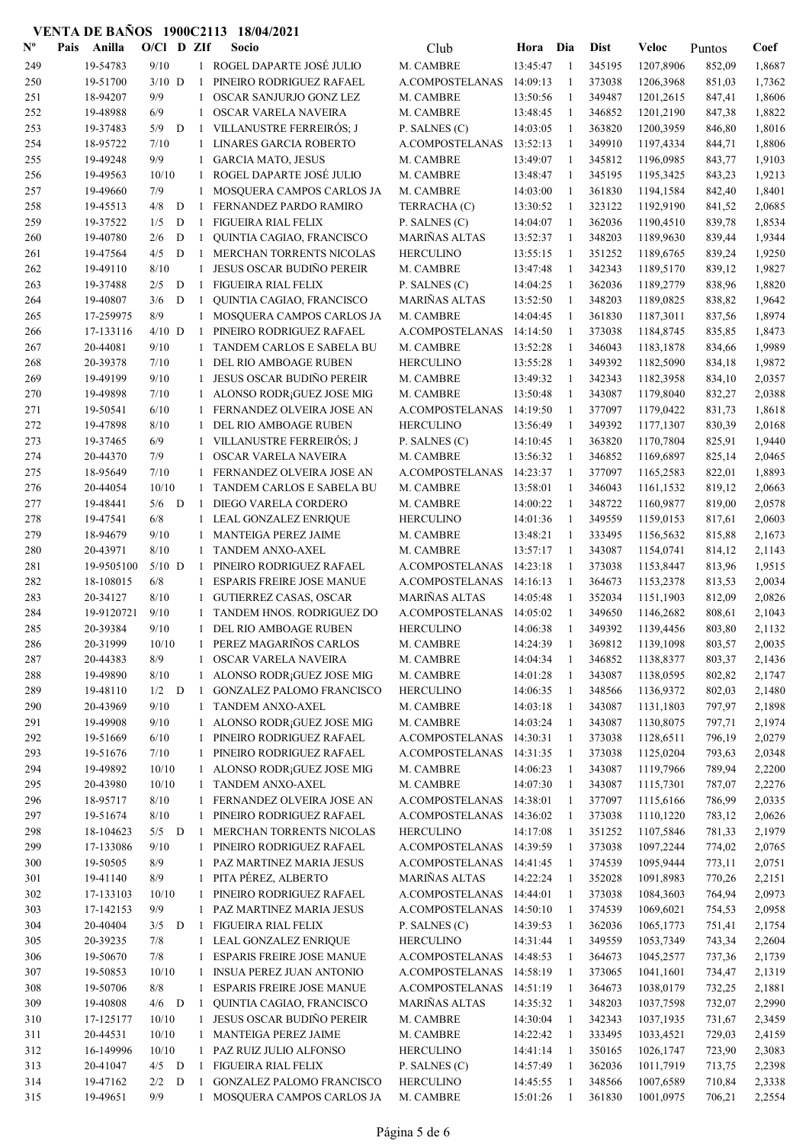| $\mathbf{N}^{\mathbf{o}}$ | Pais | Anilla     | $O/C1$ D ZIf |             |              | Socio                            | Club                 | Hora     | Dia          | <b>Dist</b> | Veloc     | Puntos | Coef   |
|---------------------------|------|------------|--------------|-------------|--------------|----------------------------------|----------------------|----------|--------------|-------------|-----------|--------|--------|
| 249                       |      | 19-54783   | 9/10         |             |              | 1 ROGEL DAPARTE JOSÉ JULIO       | M. CAMBRE            | 13:45:47 | -1           | 345195      | 1207,8906 | 852,09 | 1,8687 |
| 250                       |      | 19-51700   | $3/10$ D     |             | -1           | PINEIRO RODRIGUEZ RAFAEL         | A.COMPOSTELANAS      | 14:09:13 | $\mathbf{1}$ | 373038      | 1206,3968 | 851,03 | 1,7362 |
| 251                       |      | 18-94207   | 9/9          |             | 1            | OSCAR SANJURJO GONZ LEZ          | M. CAMBRE            | 13:50:56 | 1            | 349487      | 1201,2615 | 847,41 | 1,8606 |
| 252                       |      | 19-48988   | 6/9          |             | 1            | OSCAR VARELA NAVEIRA             | M. CAMBRE            | 13:48:45 | -1           | 346852      | 1201,2190 | 847,38 | 1,8822 |
| 253                       |      | 19-37483   | 5/9          | D           | -1           | VILLANUSTRE FERREIRÓS; J         | P. SALNES (C)        | 14:03:05 | -1           | 363820      | 1200,3959 | 846,80 | 1,8016 |
| 254                       |      | 18-95722   | 7/10         |             | $\mathbf{1}$ | <b>LINARES GARCIA ROBERTO</b>    | A.COMPOSTELANAS      | 13:52:13 | 1            | 349910      | 1197,4334 | 844,71 | 1,8806 |
| 255                       |      | 19-49248   | 9/9          |             | 1            | <b>GARCIA MATO, JESUS</b>        | M. CAMBRE            | 13:49:07 | -1           | 345812      | 1196,0985 | 843,77 | 1,9103 |
| 256                       |      | 19-49563   | 10/10        |             | 1            | ROGEL DAPARTE JOSÉ JULIO         | M. CAMBRE            | 13:48:47 | 1            | 345195      | 1195,3425 | 843,23 | 1,9213 |
| 257                       |      | 19-49660   | 7/9          |             | 1            | MOSQUERA CAMPOS CARLOS JA        | M. CAMBRE            | 14:03:00 | 1            | 361830      | 1194,1584 | 842,40 | 1,8401 |
| 258                       |      | 19-45513   | 4/8          | $\mathbf D$ | 1            | FERNANDEZ PARDO RAMIRO           | TERRACHA (C)         | 13:30:52 | -1           | 323122      | 1192,9190 | 841,52 | 2,0685 |
| 259                       |      | 19-37522   | 1/5          | D           | $\mathbf{1}$ | <b>FIGUEIRA RIAL FELIX</b>       | P. SALNES (C)        | 14:04:07 | -1           | 362036      | 1190,4510 | 839,78 | 1,8534 |
| 260                       |      | 19-40780   | 2/6          | D           | 1            | QUINTIA CAGIAO, FRANCISCO        | <b>MARIÑAS ALTAS</b> | 13:52:37 | 1            | 348203      | 1189,9630 | 839,44 | 1,9344 |
| 261                       |      | 19-47564   | 4/5          | D           | 1            | MERCHAN TORRENTS NICOLAS         | <b>HERCULINO</b>     | 13:55:15 | 1            | 351252      | 1189,6765 | 839,24 | 1,9250 |
| 262                       |      | 19-49110   | 8/10         |             | 1            | <b>JESUS OSCAR BUDIÑO PEREIR</b> | M. CAMBRE            | 13:47:48 | -1           | 342343      | 1189,5170 | 839,12 | 1,9827 |
| 263                       |      | 19-37488   | 2/5          | D           | 1            | FIGUEIRA RIAL FELIX              | P. SALNES (C)        | 14:04:25 | 1            | 362036      | 1189,2779 | 838,96 | 1,8820 |
| 264                       |      | 19-40807   | 3/6          | D           | -1           | QUINTIA CAGIAO, FRANCISCO        | MARIÑAS ALTAS        | 13:52:50 | -1           | 348203      | 1189,0825 | 838,82 | 1,9642 |
| 265                       |      | 17-259975  | 8/9          |             | $\mathbf{1}$ | MOSQUERA CAMPOS CARLOS JA        | M. CAMBRE            | 14:04:45 | -1           | 361830      | 1187,3011 | 837,56 | 1,8974 |
| 266                       |      | 17-133116  | $4/10$ D     |             | 1            | PINEIRO RODRIGUEZ RAFAEL         | A.COMPOSTELANAS      | 14:14:50 | $\mathbf{1}$ | 373038      | 1184,8745 | 835,85 | 1,8473 |
| 267                       |      | 20-44081   | 9/10         |             | 1            | TANDEM CARLOS E SABELA BU        | M. CAMBRE            | 13:52:28 | -1           | 346043      | 1183,1878 | 834,66 | 1,9989 |
| 268                       |      | 20-39378   | 7/10         |             | 1            | DEL RIO AMBOAGE RUBEN            | <b>HERCULINO</b>     | 13:55:28 | 1            | 349392      | 1182,5090 | 834,18 | 1,9872 |
| 269                       |      | 19-49199   | 9/10         |             | 1            | <b>JESUS OSCAR BUDIÑO PEREIR</b> | M. CAMBRE            | 13:49:32 | 1            | 342343      | 1182,3958 | 834,10 | 2,0357 |
| 270                       |      | 19-49898   | 7/10         |             | 1            | ALONSO RODR; GUEZ JOSE MIG       | M. CAMBRE            | 13:50:48 | 1            | 343087      | 1179,8040 | 832,27 | 2,0388 |
| 271                       |      | 19-50541   | 6/10         |             | $\mathbf{1}$ | FERNANDEZ OLVEIRA JOSE AN        | A.COMPOSTELANAS      | 14:19:50 | 1            | 377097      | 1179,0422 | 831,73 | 1,8618 |
|                           |      |            |              |             |              |                                  |                      | 13:56:49 |              |             | 1177,1307 |        |        |
| 272                       |      | 19-47898   | 8/10         |             | $\mathbf{1}$ | DEL RIO AMBOAGE RUBEN            | <b>HERCULINO</b>     |          | 1            | 349392      |           | 830,39 | 2,0168 |
| 273                       |      | 19-37465   | 6/9          |             | $\mathbf{1}$ | VILLANUSTRE FERREIRÓS; J         | P. SALNES (C)        | 14:10:45 | 1            | 363820      | 1170,7804 | 825,91 | 1,9440 |
| 274                       |      | 20-44370   | 7/9          |             | 1            | OSCAR VARELA NAVEIRA             | M. CAMBRE            | 13:56:32 | $\mathbf{1}$ | 346852      | 1169,6897 | 825,14 | 2,0465 |
| 275                       |      | 18-95649   | 7/10         |             | 1            | FERNANDEZ OLVEIRA JOSE AN        | A.COMPOSTELANAS      | 14:23:37 | 1            | 377097      | 1165,2583 | 822,01 | 1,8893 |
| 276                       |      | 20-44054   | 10/10        |             | 1            | TANDEM CARLOS E SABELA BU        | M. CAMBRE            | 13:58:01 | -1           | 346043      | 1161,1532 | 819,12 | 2,0663 |
| 277                       |      | 19-48441   | $5/6$ D      |             | 1            | DIEGO VARELA CORDERO             | M. CAMBRE            | 14:00:22 | -1           | 348722      | 1160,9877 | 819,00 | 2,0578 |
| 278                       |      | 19-47541   | $6/8$        |             | $\mathbf{1}$ | LEAL GONZALEZ ENRIQUE            | <b>HERCULINO</b>     | 14:01:36 | -1           | 349559      | 1159,0153 | 817,61 | 2,0603 |
| 279                       |      | 18-94679   | 9/10         |             | 1            | MANTEIGA PEREZ JAIME             | M. CAMBRE            | 13:48:21 | -1           | 333495      | 1156,5632 | 815,88 | 2,1673 |
| 280                       |      | 20-43971   | 8/10         |             | 1            | TANDEM ANXO-AXEL                 | M. CAMBRE            | 13:57:17 | 1            | 343087      | 1154,0741 | 814,12 | 2,1143 |
| 281                       |      | 19-9505100 | $5/10$ D     |             | $\mathbf{1}$ | PINEIRO RODRIGUEZ RAFAEL         | A.COMPOSTELANAS      | 14:23:18 | 1            | 373038      | 1153,8447 | 813,96 | 1,9515 |
| 282                       |      | 18-108015  | 6/8          |             | 1            | <b>ESPARIS FREIRE JOSE MANUE</b> | A.COMPOSTELANAS      | 14:16:13 | 1            | 364673      | 1153,2378 | 813,53 | 2,0034 |
| 283                       |      | 20-34127   | 8/10         |             | 1            | <b>GUTIERREZ CASAS, OSCAR</b>    | <b>MARIÑAS ALTAS</b> | 14:05:48 | 1            | 352034      | 1151,1903 | 812,09 | 2,0826 |
| 284                       |      | 19-9120721 | 9/10         |             |              | TANDEM HNOS. RODRIGUEZ DO        | A.COMPOSTELANAS      | 14:05:02 | 1            | 349650      | 1146,2682 | 808,61 | 2,1043 |
| 285                       |      | 20-39384   | 9/10         |             | $\mathbf{1}$ | DEL RIO AMBOAGE RUBEN            | <b>HERCULINO</b>     | 14:06:38 | 1            | 349392      | 1139,4456 | 803,80 | 2,1132 |
| 286                       |      | 20-31999   | 10/10        |             | $\mathbf{1}$ | PEREZ MAGARIÑOS CARLOS           | M. CAMBRE            | 14:24:39 | 1            | 369812      | 1139,1098 | 803,57 | 2,0035 |
| 287                       |      | 20-44383   | $8/9$        |             | 1            | OSCAR VARELA NAVEIRA             | M. CAMBRE            | 14:04:34 | 1            | 346852      | 1138,8377 | 803,37 | 2,1436 |
| 288                       |      | 19-49890   | 8/10         |             | 1            | ALONSO RODR; GUEZ JOSE MIG       | M. CAMBRE            | 14:01:28 | -1           | 343087      | 1138,0595 | 802,82 | 2,1747 |
| 289                       |      | 19-48110   | $1/2$ D      |             | 1            | <b>GONZALEZ PALOMO FRANCISCO</b> | <b>HERCULINO</b>     | 14:06:35 | -1           | 348566      | 1136,9372 | 802,03 | 2,1480 |
| 290                       |      | 20-43969   | 9/10         |             | $\mathbf{1}$ | TANDEM ANXO-AXEL                 | M. CAMBRE            | 14:03:18 | -1           | 343087      | 1131,1803 | 797,97 | 2,1898 |
| 291                       |      | 19-49908   | 9/10         |             | 1            | ALONSO RODR; GUEZ JOSE MIG       | M. CAMBRE            | 14:03:24 | $\mathbf{1}$ | 343087      | 1130,8075 | 797,71 | 2,1974 |
| 292                       |      | 19-51669   | 6/10         |             | 1            | PINEIRO RODRIGUEZ RAFAEL         | A.COMPOSTELANAS      | 14:30:31 | 1            | 373038      | 1128,6511 | 796,19 | 2,0279 |
| 293                       |      | 19-51676   | 7/10         |             | 1            | PINEIRO RODRIGUEZ RAFAEL         | A.COMPOSTELANAS      | 14:31:35 | 1            | 373038      | 1125,0204 | 793,63 | 2,0348 |
| 294                       |      | 19-49892   | 10/10        |             | 1            | ALONSO RODR; GUEZ JOSE MIG       | M. CAMBRE            | 14:06:23 | $\mathbf{1}$ | 343087      | 1119,7966 | 789,94 | 2,2200 |
| 295                       |      | 20-43980   | 10/10        |             | 1            | TANDEM ANXO-AXEL                 | M. CAMBRE            | 14:07:30 | 1            | 343087      | 1115,7301 | 787,07 | 2,2276 |
| 296                       |      | 18-95717   | 8/10         |             | 1            | FERNANDEZ OLVEIRA JOSE AN        | A.COMPOSTELANAS      | 14:38:01 | 1            | 377097      | 1115,6166 | 786,99 | 2,0335 |
| 297                       |      | 19-51674   | 8/10         |             | $\mathbf{1}$ | PINEIRO RODRIGUEZ RAFAEL         | A.COMPOSTELANAS      | 14:36:02 | 1            | 373038      | 1110,1220 | 783,12 | 2,0626 |
| 298                       |      | 18-104623  | $5/5$ D      |             | -1           | MERCHAN TORRENTS NICOLAS         | <b>HERCULINO</b>     | 14:17:08 | $\mathbf{1}$ | 351252      | 1107,5846 | 781,33 | 2,1979 |
| 299                       |      | 17-133086  | 9/10         |             | 1            | PINEIRO RODRIGUEZ RAFAEL         | A.COMPOSTELANAS      | 14:39:59 | $\mathbf{1}$ | 373038      | 1097,2244 | 774,02 | 2,0765 |
| 300                       |      | 19-50505   | 8/9          |             | 1            | PAZ MARTINEZ MARIA JESUS         | A.COMPOSTELANAS      | 14:41:45 | -1           | 374539      | 1095,9444 | 773,11 | 2,0751 |
| 301                       |      | 19-41140   | 8/9          |             | 1            | PITA PÉREZ, ALBERTO              | MARIÑAS ALTAS        | 14:22:24 | -1           | 352028      | 1091,8983 | 770,26 | 2,2151 |
| 302                       |      | 17-133103  | 10/10        |             | 1            | PINEIRO RODRIGUEZ RAFAEL         | A.COMPOSTELANAS      | 14:44:01 | -1           | 373038      | 1084,3603 | 764,94 | 2,0973 |
| 303                       |      | 17-142153  | 9/9          |             | $\mathbf{1}$ | PAZ MARTINEZ MARIA JESUS         | A.COMPOSTELANAS      | 14:50:10 | -1           | 374539      | 1069,6021 | 754,53 | 2,0958 |
| 304                       |      | 20-40404   | 3/5          | D           | -1           | FIGUEIRA RIAL FELIX              | P. SALNES (C)        | 14:39:53 | 1            | 362036      | 1065,1773 | 751,41 | 2,1754 |
| 305                       |      | 20-39235   | 7/8          |             | 1            | LEAL GONZALEZ ENRIQUE            | <b>HERCULINO</b>     | 14:31:44 | 1            | 349559      | 1053,7349 | 743,34 | 2,2604 |
| 306                       |      | 19-50670   | 7/8          |             | 1            | ESPARIS FREIRE JOSE MANUE        | A.COMPOSTELANAS      | 14:48:53 | 1            | 364673      | 1045,2577 | 737,36 | 2,1739 |
| 307                       |      | 19-50853   | 10/10        |             | 1            | INSUA PEREZ JUAN ANTONIO         | A.COMPOSTELANAS      | 14:58:19 | 1            | 373065      | 1041,1601 | 734,47 | 2,1319 |
| 308                       |      | 19-50706   | $8/8$        |             | $\mathbf{1}$ | <b>ESPARIS FREIRE JOSE MANUE</b> | A.COMPOSTELANAS      | 14:51:19 | 1            | 364673      | 1038,0179 | 732,25 | 2,1881 |
| 309                       |      | 19-40808   | $4/6$ D      |             | -1           | QUINTIA CAGIAO, FRANCISCO        | <b>MARIÑAS ALTAS</b> | 14:35:32 | 1            | 348203      | 1037,7598 | 732,07 | 2,2990 |
| 310                       |      | 17-125177  | 10/10        |             | 1            | <b>JESUS OSCAR BUDIÑO PEREIR</b> | M. CAMBRE            | 14:30:04 | 1            | 342343      | 1037,1935 | 731,67 | 2,3459 |
| 311                       |      | 20-44531   | 10/10        |             | 1            | MANTEIGA PEREZ JAIME             | M. CAMBRE            | 14:22:42 | 1            | 333495      | 1033,4521 | 729,03 | 2,4159 |
| 312                       |      | 16-149996  | 10/10        |             | 1            | PAZ RUIZ JULIO ALFONSO           | <b>HERCULINO</b>     | 14:41:14 | -1           | 350165      | 1026,1747 | 723,90 | 2,3083 |
| 313                       |      | 20-41047   | $4/5$ D      |             | 1            | FIGUEIRA RIAL FELIX              | P. SALNES (C)        | 14:57:49 | -1           | 362036      | 1011,7919 | 713,75 | 2,2398 |
| 314                       |      | 19-47162   | $2/2$ D      |             | 1            | <b>GONZALEZ PALOMO FRANCISCO</b> | <b>HERCULINO</b>     | 14:45:55 | -1           | 348566      | 1007,6589 | 710,84 | 2,3338 |
| 315                       |      | 19-49651   | 9/9          |             |              | 1 MOSQUERA CAMPOS CARLOS JA      | M. CAMBRE            | 15:01:26 | -1           | 361830      | 1001,0975 | 706,21 | 2,2554 |
|                           |      |            |              |             |              |                                  |                      |          |              |             |           |        |        |